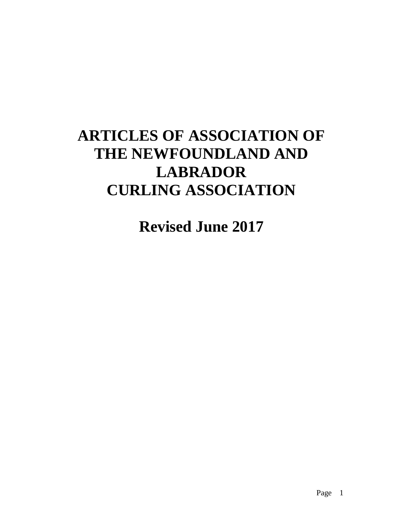# **ARTICLES OF ASSOCIATION OF THE NEWFOUNDLAND AND LABRADOR CURLING ASSOCIATION**

**Revised June 2017**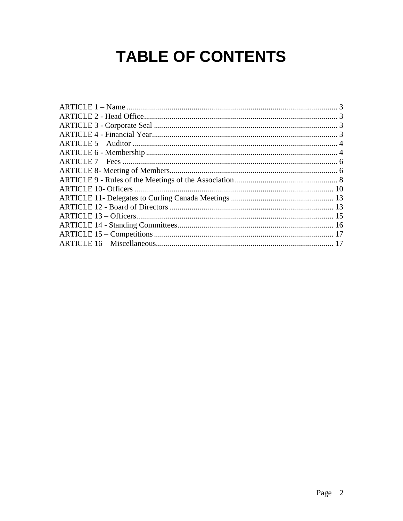# **TABLE OF CONTENTS**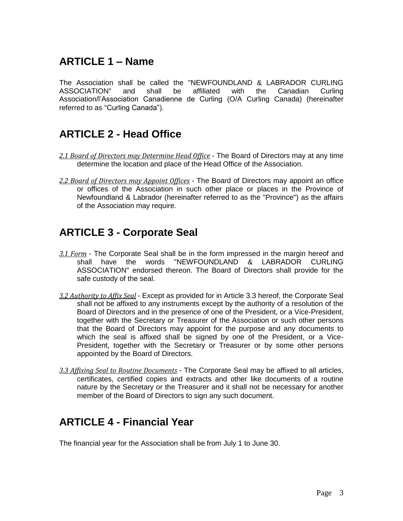# <span id="page-2-0"></span>**ARTICLE 1 – Name**

The Association shall be called the "NEWFOUNDLAND & LABRADOR CURLING ASSOCIATION" and shall be affiliated with the Canadian Curling Association/l'Association Canadienne de Curling (O/A Curling Canada) (hereinafter referred to as "Curling Canada").

# <span id="page-2-1"></span>**ARTICLE 2 - Head Office**

- *2.1 Board of Directors may Determine Head Office* The Board of Directors may at any time determine the location and place of the Head Office of the Association.
- *2.2 Board of Directors may Appoint Offices* The Board of Directors may appoint an office or offices of the Association in such other place or places in the Province of Newfoundland & Labrador (hereinafter referred to as the "Province") as the affairs of the Association may require.

## <span id="page-2-2"></span>**ARTICLE 3 - Corporate Seal**

- *3.1 Form* The Corporate Seal shall be in the form impressed in the margin hereof and shall have the words "NEWFOUNDLAND & LABRADOR CURLING ASSOCIATION" endorsed thereon. The Board of Directors shall provide for the safe custody of the seal.
- *3.2 Authority to Affix Seal* Except as provided for in Article 3.3 hereof, the Corporate Seal shall not be affixed to any instruments except by the authority of a resolution of the Board of Directors and in the presence of one of the President, or a Vice-President, together with the Secretary or Treasurer of the Association or such other persons that the Board of Directors may appoint for the purpose and any documents to which the seal is affixed shall be signed by one of the President, or a Vice-President, together with the Secretary or Treasurer or by some other persons appointed by the Board of Directors.
- *3.3 Affixing Seal to Routine Documents* The Corporate Seal may be affixed to all articles, certificates, certified copies and extracts and other like documents of a routine nature by the Secretary or the Treasurer and it shall not be necessary for another member of the Board of Directors to sign any such document.

# <span id="page-2-3"></span>**ARTICLE 4 - Financial Year**

The financial year for the Association shall be from July 1 to June 30.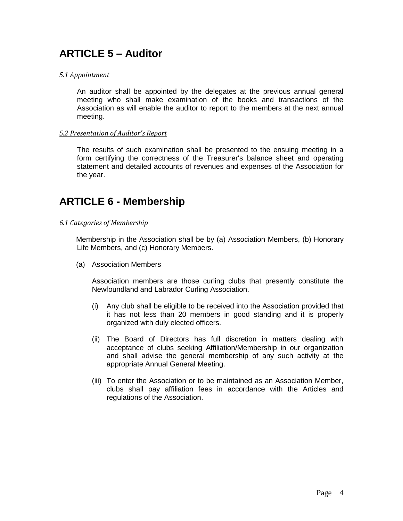# <span id="page-3-0"></span>**ARTICLE 5 – Auditor**

#### *5.1 Appointment*

An auditor shall be appointed by the delegates at the previous annual general meeting who shall make examination of the books and transactions of the Association as will enable the auditor to report to the members at the next annual meeting.

#### *5.2 Presentation of Auditor's Report*

The results of such examination shall be presented to the ensuing meeting in a form certifying the correctness of the Treasurer's balance sheet and operating statement and detailed accounts of revenues and expenses of the Association for the year.

# <span id="page-3-1"></span>**ARTICLE 6 - Membership**

#### *6.1 Categories of Membership*

Membership in the Association shall be by (a) Association Members, (b) Honorary Life Members, and (c) Honorary Members.

(a) Association Members

Association members are those curling clubs that presently constitute the Newfoundland and Labrador Curling Association.

- (i) Any club shall be eligible to be received into the Association provided that it has not less than 20 members in good standing and it is properly organized with duly elected officers.
- (ii) The Board of Directors has full discretion in matters dealing with acceptance of clubs seeking Affiliation/Membership in our organization and shall advise the general membership of any such activity at the appropriate Annual General Meeting.
- (iii) To enter the Association or to be maintained as an Association Member, clubs shall pay affiliation fees in accordance with the Articles and regulations of the Association.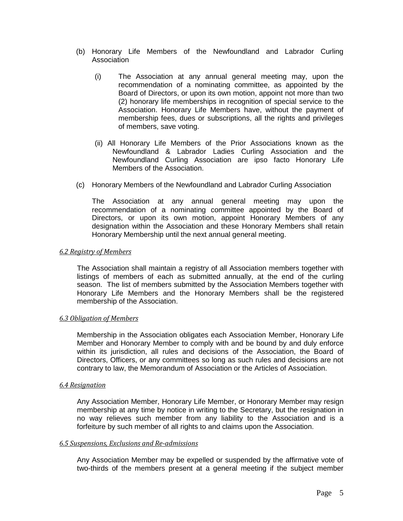- (b) Honorary Life Members of the Newfoundland and Labrador Curling Association
	- (i) The Association at any annual general meeting may, upon the recommendation of a nominating committee, as appointed by the Board of Directors, or upon its own motion, appoint not more than two (2) honorary life memberships in recognition of special service to the Association. Honorary Life Members have, without the payment of membership fees, dues or subscriptions, all the rights and privileges of members, save voting.
	- (ii) All Honorary Life Members of the Prior Associations known as the Newfoundland & Labrador Ladies Curling Association and the Newfoundland Curling Association are ipso facto Honorary Life Members of the Association.
- (c) Honorary Members of the Newfoundland and Labrador Curling Association

The Association at any annual general meeting may upon the recommendation of a nominating committee appointed by the Board of Directors, or upon its own motion, appoint Honorary Members of any designation within the Association and these Honorary Members shall retain Honorary Membership until the next annual general meeting.

#### *6.2 Registry of Members*

The Association shall maintain a registry of all Association members together with listings of members of each as submitted annually, at the end of the curling season. The list of members submitted by the Association Members together with Honorary Life Members and the Honorary Members shall be the registered membership of the Association.

#### *6.3 Obligation of Members*

Membership in the Association obligates each Association Member, Honorary Life Member and Honorary Member to comply with and be bound by and duly enforce within its jurisdiction, all rules and decisions of the Association, the Board of Directors, Officers, or any committees so long as such rules and decisions are not contrary to law, the Memorandum of Association or the Articles of Association.

#### *6.4 Resignation*

Any Association Member, Honorary Life Member, or Honorary Member may resign membership at any time by notice in writing to the Secretary, but the resignation in no way relieves such member from any liability to the Association and is a forfeiture by such member of all rights to and claims upon the Association.

#### *6.5 Suspensions, Exclusions and Re-admissions*

Any Association Member may be expelled or suspended by the affirmative vote of two-thirds of the members present at a general meeting if the subject member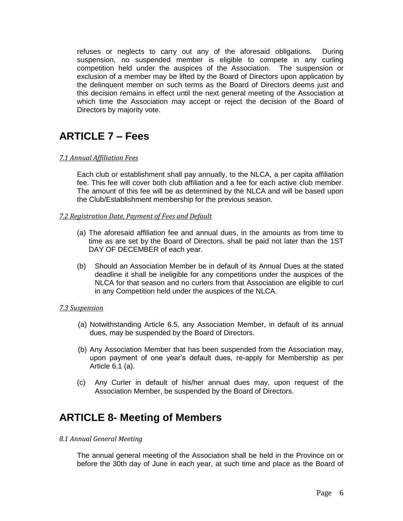refuses or neglects to carry out any of the aforesaid obligations. During suspension, no suspended member is eligible to compete in any curling competition held under the auspices of the Association. The suspension or exclusion of a member may be lifted by the Board of Directors upon application by the delinquent member on such terms as the Board of Directors deems just and this decision remains in effect until the next general meeting of the Association at which time the Association may accept or reject the decision of the Board of Directors by majority vote.

# <span id="page-5-0"></span>**ARTICLE 7 – Fees**

#### *7.1 Annual Affiliation Fees*

Each club or establishment shall pay annually, to the NLCA, a per capita affiliation fee. This fee will cover both club affiliation and a fee for each active club member. The amount of this fee will be as determined by the NLCA and will be based upon the Club/Establishment membership for the previous season.

#### *7.2 Registration Date, Payment of Fees and Default*

- (a) The aforesaid affiliation fee and annual dues, in the amounts as from time to time as are set by the Board of Directors, shall be paid not later than the 1ST DAY OF DECEMBER of each year.
- (b) Should an Association Member be in default of its Annual Dues at the stated deadline it shall be ineligible for any competitions under the auspices of the NLCA for that season and no curlers from that Association are eligible to curl in any Competition held under the auspices of the NLCA.

#### *7.3 Suspension*

- (a) Notwithstanding Article 6.5, any Association Member, in default of its annual dues, may be suspended by the Board of Directors.
- (b) Any Association Member that has been suspended from the Association may, upon payment of one year's default dues, re-apply for Membership as per Article 6.1 (a).
- (c) Any Curler in default of his/her annual dues may, upon request of the Association Member, be suspended by the Board of Directors.

## <span id="page-5-1"></span>**ARTICLE 8- Meeting of Members**

#### *8.1 Annual General Meeting*

The annual general meeting of the Association shall be held in the Province on or before the 30th day of June in each year, at such time and place as the Board of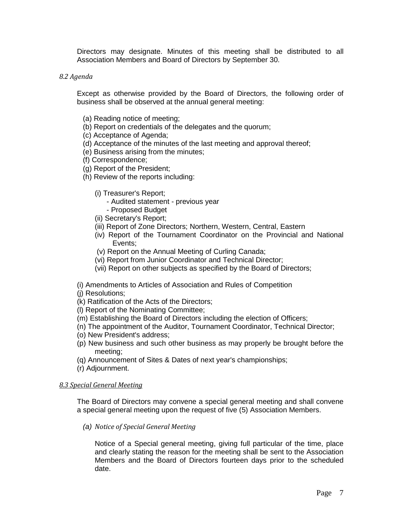Directors may designate. Minutes of this meeting shall be distributed to all Association Members and Board of Directors by September 30.

#### *8.2 Agenda*

Except as otherwise provided by the Board of Directors, the following order of business shall be observed at the annual general meeting:

- (a) Reading notice of meeting;
- (b) Report on credentials of the delegates and the quorum;
- (c) Acceptance of Agenda;
- (d) Acceptance of the minutes of the last meeting and approval thereof;
- (e) Business arising from the minutes;
- (f) Correspondence;
- (g) Report of the President;
- (h) Review of the reports including:
	- (i) Treasurer's Report;
		- Audited statement previous year
		- Proposed Budget
	- (ii) Secretary's Report;
	- (iii) Report of Zone Directors; Northern, Western, Central, Eastern
	- (iv) Report of the Tournament Coordinator on the Provincial and National Events;
	- (v) Report on the Annual Meeting of Curling Canada;
	- (vi) Report from Junior Coordinator and Technical Director;
	- (vii) Report on other subjects as specified by the Board of Directors;

(i) Amendments to Articles of Association and Rules of Competition

- (j) Resolutions;
- (k) Ratification of the Acts of the Directors;
- (l) Report of the Nominating Committee;
- (m) Establishing the Board of Directors including the election of Officers;
- (n) The appointment of the Auditor, Tournament Coordinator, Technical Director;
- (o) New President's address;
- (p) New business and such other business as may properly be brought before the meeting;
- (q) Announcement of Sites & Dates of next year's championships;
- (r) Adjournment.

#### *8.3 Special General Meeting*

The Board of Directors may convene a special general meeting and shall convene a special general meeting upon the request of five (5) Association Members.

*(a) Notice of Special General Meeting*

Notice of a Special general meeting, giving full particular of the time, place and clearly stating the reason for the meeting shall be sent to the Association Members and the Board of Directors fourteen days prior to the scheduled date.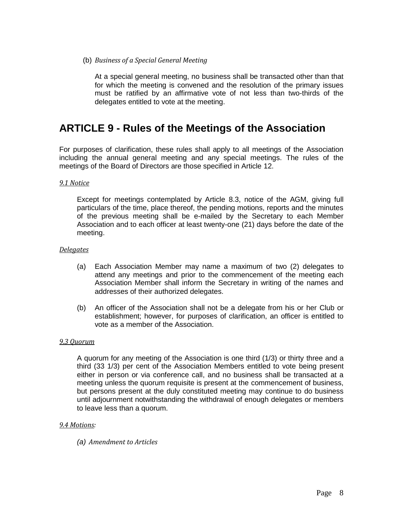#### (b) *Business of a Special General Meeting*

At a special general meeting, no business shall be transacted other than that for which the meeting is convened and the resolution of the primary issues must be ratified by an affirmative vote of not less than two-thirds of the delegates entitled to vote at the meeting.

### <span id="page-7-0"></span>**ARTICLE 9 - Rules of the Meetings of the Association**

For purposes of clarification, these rules shall apply to all meetings of the Association including the annual general meeting and any special meetings. The rules of the meetings of the Board of Directors are those specified in Article 12.

#### *9.1 Notice*

Except for meetings contemplated by Article 8.3, notice of the AGM, giving full particulars of the time, place thereof, the pending motions, reports and the minutes of the previous meeting shall be e-mailed by the Secretary to each Member Association and to each officer at least twenty-one (21) days before the date of the meeting.

#### *Delegates*

- (a) Each Association Member may name a maximum of two (2) delegates to attend any meetings and prior to the commencement of the meeting each Association Member shall inform the Secretary in writing of the names and addresses of their authorized delegates.
- (b) An officer of the Association shall not be a delegate from his or her Club or establishment; however, for purposes of clarification, an officer is entitled to vote as a member of the Association.

#### *9.3 Quorum*

A quorum for any meeting of the Association is one third (1/3) or thirty three and a third (33 1/3) per cent of the Association Members entitled to vote being present either in person or via conference call, and no business shall be transacted at a meeting unless the quorum requisite is present at the commencement of business, but persons present at the duly constituted meeting may continue to do business until adjournment notwithstanding the withdrawal of enough delegates or members to leave less than a quorum.

#### *9.4 Motions:*

*(a) Amendment to Articles*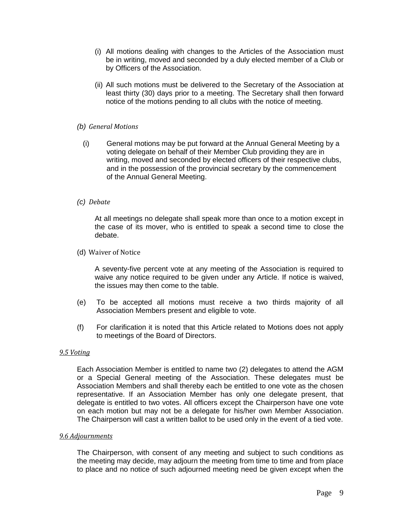- (i) All motions dealing with changes to the Articles of the Association must be in writing, moved and seconded by a duly elected member of a Club or by Officers of the Association.
- (ii) All such motions must be delivered to the Secretary of the Association at least thirty (30) days prior to a meeting. The Secretary shall then forward notice of the motions pending to all clubs with the notice of meeting.

#### *(b) General Motions*

(i) General motions may be put forward at the Annual General Meeting by a voting delegate on behalf of their Member Club providing they are in writing, moved and seconded by elected officers of their respective clubs, and in the possession of the provincial secretary by the commencement of the Annual General Meeting.

#### *(c) Debate*

At all meetings no delegate shall speak more than once to a motion except in the case of its mover, who is entitled to speak a second time to close the debate.

#### (d) Waiver of Notice

A seventy-five percent vote at any meeting of the Association is required to waive any notice required to be given under any Article. If notice is waived, the issues may then come to the table.

- (e) To be accepted all motions must receive a two thirds majority of all Association Members present and eligible to vote.
- (f) For clarification it is noted that this Article related to Motions does not apply to meetings of the Board of Directors.

#### *9.5 Voting*

Each Association Member is entitled to name two (2) delegates to attend the AGM or a Special General meeting of the Association. These delegates must be Association Members and shall thereby each be entitled to one vote as the chosen representative. If an Association Member has only one delegate present, that delegate is entitled to two votes. All officers except the Chairperson have one vote on each motion but may not be a delegate for his/her own Member Association. The Chairperson will cast a written ballot to be used only in the event of a tied vote.

#### *9.6 Adjournments*

The Chairperson, with consent of any meeting and subject to such conditions as the meeting may decide, may adjourn the meeting from time to time and from place to place and no notice of such adjourned meeting need be given except when the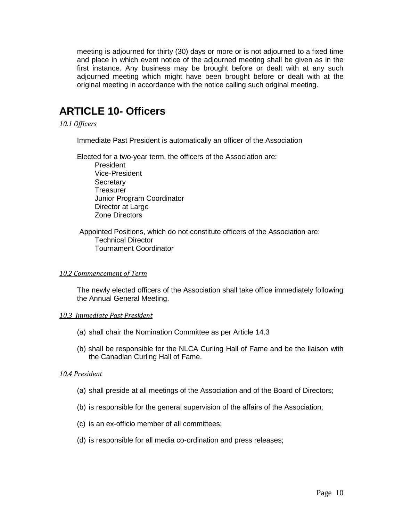meeting is adjourned for thirty (30) days or more or is not adjourned to a fixed time and place in which event notice of the adjourned meeting shall be given as in the first instance. Any business may be brought before or dealt with at any such adjourned meeting which might have been brought before or dealt with at the original meeting in accordance with the notice calling such original meeting.

# <span id="page-9-0"></span>**ARTICLE 10- Officers**

#### *10.1 Officers*

Immediate Past President is automatically an officer of the Association

Elected for a two-year term, the officers of the Association are: President Vice-President **Secretary Treasurer** Junior Program Coordinator Director at Large Zone Directors

 Appointed Positions, which do not constitute officers of the Association are: Technical Director Tournament Coordinator

#### *10.2 Commencement of Term*

The newly elected officers of the Association shall take office immediately following the Annual General Meeting.

#### *10.3 Immediate Past President*

- (a) shall chair the Nomination Committee as per Article 14.3
- (b) shall be responsible for the NLCA Curling Hall of Fame and be the liaison with the Canadian Curling Hall of Fame.

#### *10.4 President*

- (a) shall preside at all meetings of the Association and of the Board of Directors;
- (b) is responsible for the general supervision of the affairs of the Association;
- (c) is an ex-officio member of all committees;
- (d) is responsible for all media co-ordination and press releases;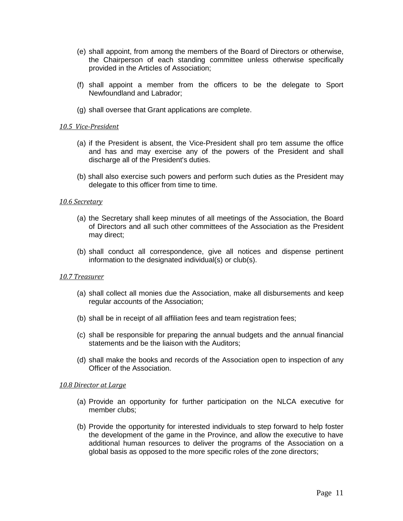- (e) shall appoint, from among the members of the Board of Directors or otherwise, the Chairperson of each standing committee unless otherwise specifically provided in the Articles of Association;
- (f) shall appoint a member from the officers to be the delegate to Sport Newfoundland and Labrador;
- (g) shall oversee that Grant applications are complete.

#### *10.5 Vice-President*

- (a) if the President is absent, the Vice-President shall pro tem assume the office and has and may exercise any of the powers of the President and shall discharge all of the President's duties.
- (b) shall also exercise such powers and perform such duties as the President may delegate to this officer from time to time.

#### *10.6 Secretary*

- (a) the Secretary shall keep minutes of all meetings of the Association, the Board of Directors and all such other committees of the Association as the President may direct;
- (b) shall conduct all correspondence, give all notices and dispense pertinent information to the designated individual(s) or club(s).

#### *10.7 Treasurer*

- (a) shall collect all monies due the Association, make all disbursements and keep regular accounts of the Association;
- (b) shall be in receipt of all affiliation fees and team registration fees;
- (c) shall be responsible for preparing the annual budgets and the annual financial statements and be the liaison with the Auditors;
- (d) shall make the books and records of the Association open to inspection of any Officer of the Association.

#### *10.8 Director at Large*

- (a) Provide an opportunity for further participation on the NLCA executive for member clubs;
- (b) Provide the opportunity for interested individuals to step forward to help foster the development of the game in the Province, and allow the executive to have additional human resources to deliver the programs of the Association on a global basis as opposed to the more specific roles of the zone directors;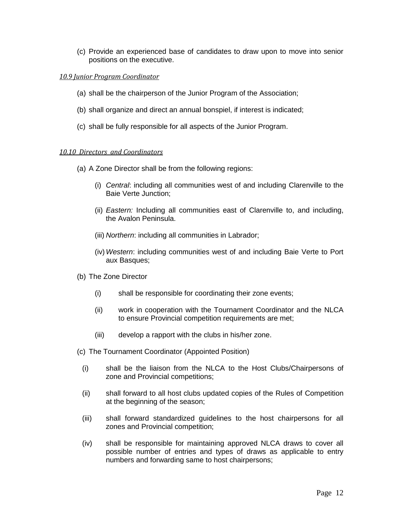(c) Provide an experienced base of candidates to draw upon to move into senior positions on the executive.

#### *10.9 Junior Program Coordinator*

- (a) shall be the chairperson of the Junior Program of the Association;
- (b) shall organize and direct an annual bonspiel, if interest is indicated;
- (c) shall be fully responsible for all aspects of the Junior Program.

#### *10.10 Directors and Coordinators*

- (a) A Zone Director shall be from the following regions:
	- (i) *Central*: including all communities west of and including Clarenville to the Baie Verte Junction;
	- (ii) *Eastern:* Including all communities east of Clarenville to, and including, the Avalon Peninsula.
	- (iii) *Northern*: including all communities in Labrador;
	- (iv) *Western*: including communities west of and including Baie Verte to Port aux Basques;
- (b) The Zone Director
	- (i) shall be responsible for coordinating their zone events;
	- (ii) work in cooperation with the Tournament Coordinator and the NLCA to ensure Provincial competition requirements are met;
	- (iii) develop a rapport with the clubs in his/her zone.
- (c) The Tournament Coordinator (Appointed Position)
	- (i) shall be the liaison from the NLCA to the Host Clubs/Chairpersons of zone and Provincial competitions;
	- (ii) shall forward to all host clubs updated copies of the Rules of Competition at the beginning of the season;
	- (iii) shall forward standardized guidelines to the host chairpersons for all zones and Provincial competition;
	- (iv) shall be responsible for maintaining approved NLCA draws to cover all possible number of entries and types of draws as applicable to entry numbers and forwarding same to host chairpersons;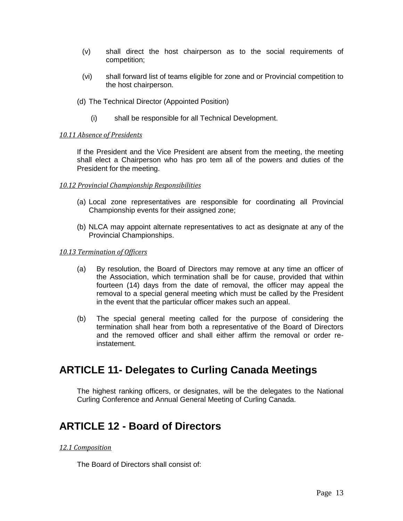- (v) shall direct the host chairperson as to the social requirements of competition;
- (vi) shall forward list of teams eligible for zone and or Provincial competition to the host chairperson.
- (d) The Technical Director (Appointed Position)
	- (i) shall be responsible for all Technical Development.

#### *10.11 Absence of Presidents*

If the President and the Vice President are absent from the meeting, the meeting shall elect a Chairperson who has pro tem all of the powers and duties of the President for the meeting.

#### *10.12 Provincial Championship Responsibilities*

- (a) Local zone representatives are responsible for coordinating all Provincial Championship events for their assigned zone;
- (b) NLCA may appoint alternate representatives to act as designate at any of the Provincial Championships.

#### *10.13 Termination of Officers*

- (a) By resolution, the Board of Directors may remove at any time an officer of the Association, which termination shall be for cause, provided that within fourteen (14) days from the date of removal, the officer may appeal the removal to a special general meeting which must be called by the President in the event that the particular officer makes such an appeal.
- (b) The special general meeting called for the purpose of considering the termination shall hear from both a representative of the Board of Directors and the removed officer and shall either affirm the removal or order reinstatement.

### <span id="page-12-0"></span>**ARTICLE 11- Delegates to Curling Canada Meetings**

The highest ranking officers, or designates, will be the delegates to the National Curling Conference and Annual General Meeting of Curling Canada.

## <span id="page-12-1"></span>**ARTICLE 12 - Board of Directors**

#### *12.1 Composition*

The Board of Directors shall consist of: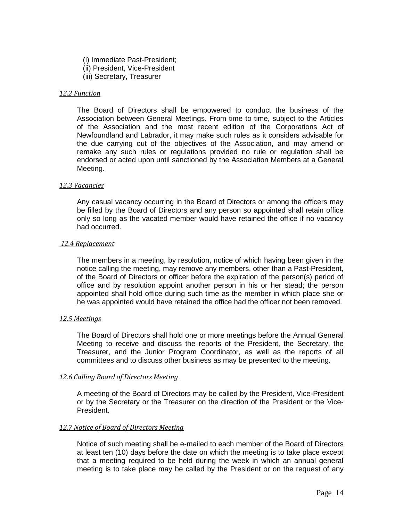- (i) Immediate Past-President;
- (ii) President, Vice-President
- (iii) Secretary, Treasurer

#### *12.2 Function*

The Board of Directors shall be empowered to conduct the business of the Association between General Meetings. From time to time, subject to the Articles of the Association and the most recent edition of the Corporations Act of Newfoundland and Labrador, it may make such rules as it considers advisable for the due carrying out of the objectives of the Association, and may amend or remake any such rules or regulations provided no rule or regulation shall be endorsed or acted upon until sanctioned by the Association Members at a General Meeting.

#### *12.3 Vacancies*

Any casual vacancy occurring in the Board of Directors or among the officers may be filled by the Board of Directors and any person so appointed shall retain office only so long as the vacated member would have retained the office if no vacancy had occurred.

#### *12.4 Replacement*

The members in a meeting, by resolution, notice of which having been given in the notice calling the meeting, may remove any members, other than a Past-President, of the Board of Directors or officer before the expiration of the person(s) period of office and by resolution appoint another person in his or her stead; the person appointed shall hold office during such time as the member in which place she or he was appointed would have retained the office had the officer not been removed.

#### *12.5 Meetings*

The Board of Directors shall hold one or more meetings before the Annual General Meeting to receive and discuss the reports of the President, the Secretary, the Treasurer, and the Junior Program Coordinator, as well as the reports of all committees and to discuss other business as may be presented to the meeting.

#### *12.6 Calling Board of Directors Meeting*

A meeting of the Board of Directors may be called by the President, Vice-President or by the Secretary or the Treasurer on the direction of the President or the Vice-President.

#### *12.7 Notice of Board of Directors Meeting*

Notice of such meeting shall be e-mailed to each member of the Board of Directors at least ten (10) days before the date on which the meeting is to take place except that a meeting required to be held during the week in which an annual general meeting is to take place may be called by the President or on the request of any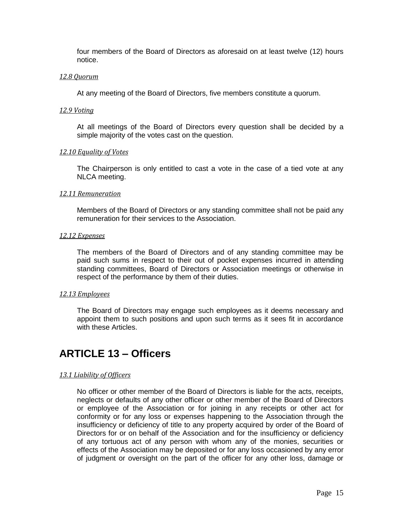four members of the Board of Directors as aforesaid on at least twelve (12) hours notice.

#### *12.8 Quorum*

At any meeting of the Board of Directors, five members constitute a quorum.

#### *12.9 Voting*

At all meetings of the Board of Directors every question shall be decided by a simple majority of the votes cast on the question.

#### *12.10 Equality of Votes*

The Chairperson is only entitled to cast a vote in the case of a tied vote at any NLCA meeting.

#### *12.11 Remuneration*

Members of the Board of Directors or any standing committee shall not be paid any remuneration for their services to the Association.

#### *12.12 Expenses*

The members of the Board of Directors and of any standing committee may be paid such sums in respect to their out of pocket expenses incurred in attending standing committees, Board of Directors or Association meetings or otherwise in respect of the performance by them of their duties.

#### *12.13 Employees*

The Board of Directors may engage such employees as it deems necessary and appoint them to such positions and upon such terms as it sees fit in accordance with these Articles.

## <span id="page-14-0"></span>**ARTICLE 13 – Officers**

#### *13.1 Liability of Officers*

No officer or other member of the Board of Directors is liable for the acts, receipts, neglects or defaults of any other officer or other member of the Board of Directors or employee of the Association or for joining in any receipts or other act for conformity or for any loss or expenses happening to the Association through the insufficiency or deficiency of title to any property acquired by order of the Board of Directors for or on behalf of the Association and for the insufficiency or deficiency of any tortuous act of any person with whom any of the monies, securities or effects of the Association may be deposited or for any loss occasioned by any error of judgment or oversight on the part of the officer for any other loss, damage or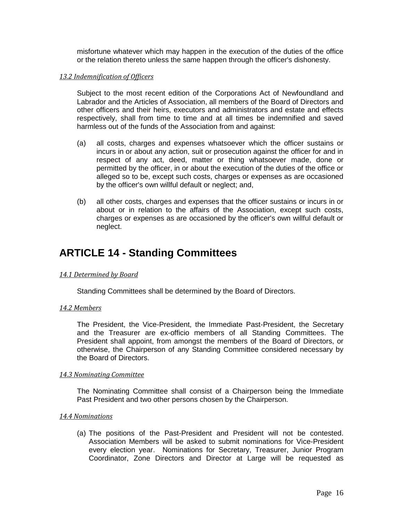misfortune whatever which may happen in the execution of the duties of the office or the relation thereto unless the same happen through the officer's dishonesty.

#### *13.2 Indemnification of Officers*

Subject to the most recent edition of the Corporations Act of Newfoundland and Labrador and the Articles of Association, all members of the Board of Directors and other officers and their heirs, executors and administrators and estate and effects respectively, shall from time to time and at all times be indemnified and saved harmless out of the funds of the Association from and against:

- (a) all costs, charges and expenses whatsoever which the officer sustains or incurs in or about any action, suit or prosecution against the officer for and in respect of any act, deed, matter or thing whatsoever made, done or permitted by the officer, in or about the execution of the duties of the office or alleged so to be, except such costs, charges or expenses as are occasioned by the officer's own willful default or neglect; and,
- (b) all other costs, charges and expenses that the officer sustains or incurs in or about or in relation to the affairs of the Association, except such costs, charges or expenses as are occasioned by the officer's own willful default or neglect.

### <span id="page-15-0"></span>**ARTICLE 14 - Standing Committees**

#### *14.1 Determined by Board*

Standing Committees shall be determined by the Board of Directors.

#### *14.2 Members*

The President, the Vice-President, the Immediate Past-President, the Secretary and the Treasurer are ex-officio members of all Standing Committees. The President shall appoint, from amongst the members of the Board of Directors, or otherwise, the Chairperson of any Standing Committee considered necessary by the Board of Directors.

#### *14.3 Nominating Committee*

The Nominating Committee shall consist of a Chairperson being the Immediate Past President and two other persons chosen by the Chairperson.

#### *14.4 Nominations*

(a) The positions of the Past-President and President will not be contested. Association Members will be asked to submit nominations for Vice-President every election year. Nominations for Secretary, Treasurer, Junior Program Coordinator, Zone Directors and Director at Large will be requested as